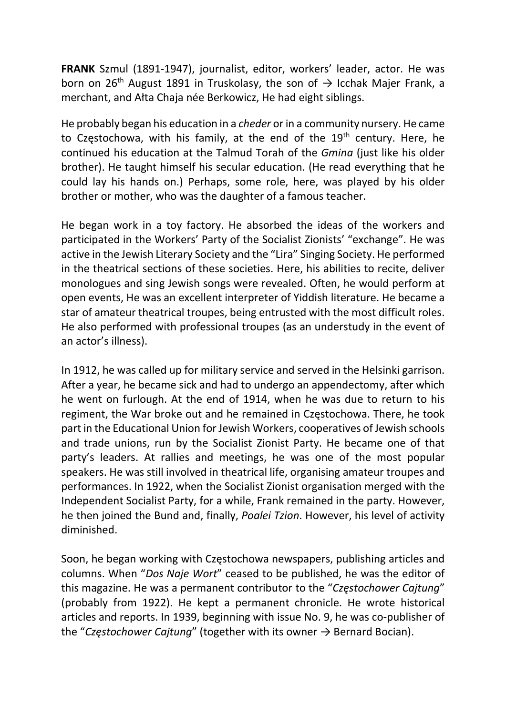FRANK Szmul (1891-1947), journalist, editor, workers' leader, actor. He was born on 26<sup>th</sup> August 1891 in Truskolasy, the son of  $\rightarrow$  Icchak Majer Frank, a merchant, and Ałta Chaja née Berkowicz, He had eight siblings.

He probably began his education in a cheder or in a community nursery. He came to Częstochowa, with his family, at the end of the  $19<sup>th</sup>$  century. Here, he continued his education at the Talmud Torah of the Gmina (just like his older brother). He taught himself his secular education. (He read everything that he could lay his hands on.) Perhaps, some role, here, was played by his older brother or mother, who was the daughter of a famous teacher.

He began work in a toy factory. He absorbed the ideas of the workers and participated in the Workers' Party of the Socialist Zionists' "exchange". He was active in the Jewish Literary Society and the "Lira" Singing Society. He performed in the theatrical sections of these societies. Here, his abilities to recite, deliver monologues and sing Jewish songs were revealed. Often, he would perform at open events, He was an excellent interpreter of Yiddish literature. He became a star of amateur theatrical troupes, being entrusted with the most difficult roles. He also performed with professional troupes (as an understudy in the event of an actor's illness).

In 1912, he was called up for military service and served in the Helsinki garrison. After a year, he became sick and had to undergo an appendectomy, after which he went on furlough. At the end of 1914, when he was due to return to his regiment, the War broke out and he remained in Częstochowa. There, he took part in the Educational Union for Jewish Workers, cooperatives of Jewish schools and trade unions, run by the Socialist Zionist Party. He became one of that party's leaders. At rallies and meetings, he was one of the most popular speakers. He was still involved in theatrical life, organising amateur troupes and performances. In 1922, when the Socialist Zionist organisation merged with the Independent Socialist Party, for a while, Frank remained in the party. However, he then joined the Bund and, finally, Poalei Tzion. However, his level of activity diminished.

Soon, he began working with Częstochowa newspapers, publishing articles and columns. When "Dos Naje Wort" ceased to be published, he was the editor of this magazine. He was a permanent contributor to the "Częstochower Cajtung" (probably from 1922). He kept a permanent chronicle. He wrote historical articles and reports. In 1939, beginning with issue No. 9, he was co-publisher of the "Częstochower Cajtung" (together with its owner  $\rightarrow$  Bernard Bocian).